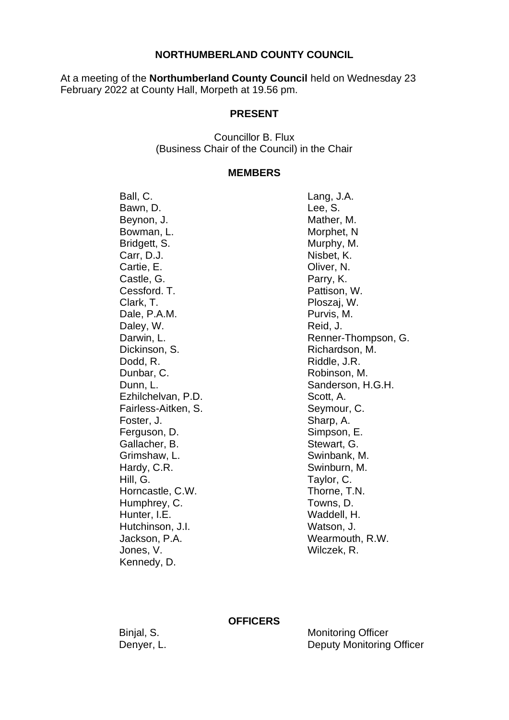### **NORTHUMBERLAND COUNTY COUNCIL**

At a meeting of the **Northumberland County Council** held on Wednesday 23 February 2022 at County Hall, Morpeth at 19.56 pm.

### **PRESENT**

Councillor B. Flux (Business Chair of the Council) in the Chair

#### **MEMBERS**

Ball, C. Bawn, D. Beynon, J. Bowman, L. Bridgett, S. Carr, D.J. Cartie, E. Castle, G. Cessford. T. Clark, T. Dale, P.A.M. Daley, W. Darwin, L. Dickinson, S. Dodd, R. Dunbar, C. Dunn, L. Ezhilchelvan, P.D. Fairless-Aitken, S. Foster, J. Ferguson, D. Gallacher, B. Grimshaw, L. Hardy, C.R. Hill, G. Horncastle, C.W. Humphrey, C. Hunter, I.E. Hutchinson, J.I. Jackson, P.A. Jones, V. Kennedy, D.

Lang, J.A. Lee, S. Mather, M. Morphet, N Murphy, M. Nisbet, K. Oliver, N. Parry, K. Pattison, W. Ploszaj, W. Purvis, M. Reid, J. Renner-Thompson, G. Richardson, M. Riddle, J.R. Robinson, M. Sanderson, H.G.H. Scott, A. Seymour, C. Sharp, A. Simpson, E. Stewart, G. Swinbank, M. Swinburn, M. Taylor, C. Thorne, T.N. Towns, D. Waddell, H. Watson, J. Wearmouth, R.W. Wilczek, R.

#### **OFFICERS**

Binjal, S. Denyer, L.

Monitoring Officer Deputy Monitoring Officer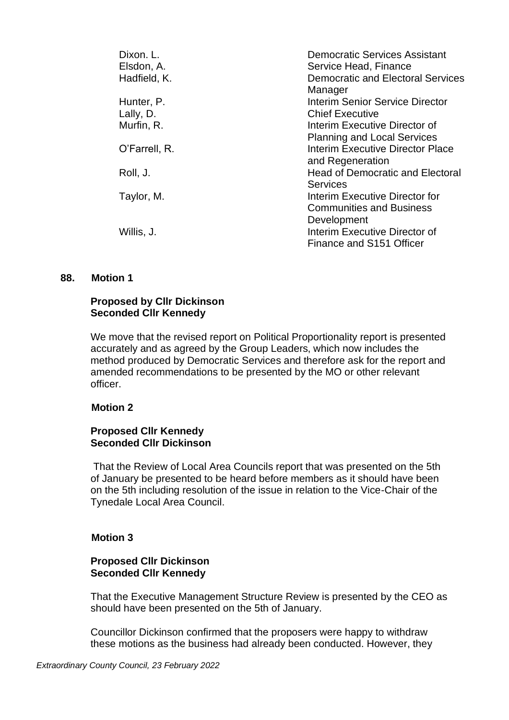| Dixon. L.     | <b>Democratic Services Assistant</b>                |
|---------------|-----------------------------------------------------|
| Elsdon, A.    | Service Head, Finance                               |
| Hadfield, K.  | <b>Democratic and Electoral Services</b><br>Manager |
| Hunter, P.    | <b>Interim Senior Service Director</b>              |
| Lally, D.     | <b>Chief Executive</b>                              |
| Murfin, R.    | Interim Executive Director of                       |
|               | <b>Planning and Local Services</b>                  |
| O'Farrell, R. | Interim Executive Director Place                    |
|               | and Regeneration                                    |
| Roll, J.      | <b>Head of Democratic and Electoral</b>             |
|               | Services                                            |
| Taylor, M.    | Interim Executive Director for                      |
|               | <b>Communities and Business</b>                     |
|               | Development                                         |
| Willis, J.    | Interim Executive Director of                       |
|               | Finance and S151 Officer                            |

#### **88. Motion 1**

# **Proposed by Cllr Dickinson Seconded Cllr Kennedy**

We move that the revised report on Political Proportionality report is presented accurately and as agreed by the Group Leaders, which now includes the method produced by Democratic Services and therefore ask for the report and amended recommendations to be presented by the MO or other relevant officer.

# **Motion 2**

# **Proposed Cllr Kennedy Seconded Cllr Dickinson**

That the Review of Local Area Councils report that was presented on the 5th of January be presented to be heard before members as it should have been on the 5th including resolution of the issue in relation to the Vice-Chair of the Tynedale Local Area Council.

# **Motion 3**

### **Proposed Cllr Dickinson Seconded Cllr Kennedy**

That the Executive Management Structure Review is presented by the CEO as should have been presented on the 5th of January.

Councillor Dickinson confirmed that the proposers were happy to withdraw these motions as the business had already been conducted. However, they